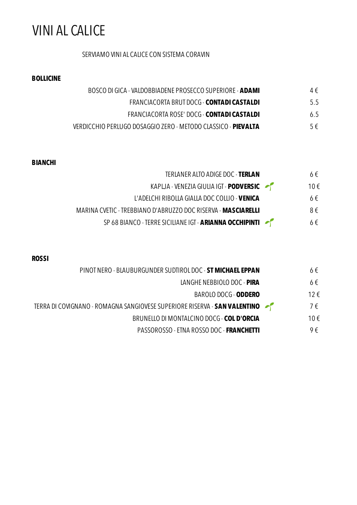# VINI AL CALICE

### SERVIAMO VINI AL CALICE CON SISTEMA CORAVIN

#### **BOLLICINE**

- BOSCO DI GICA VALDOBBIADENE PROSECCO SUPERIORE **ADAMI** 4 €
	- FRANCIACORTA BRUT DOCG **CONTADI CASTALDI** 5.5
	- FRANCIACORTA ROSE' DOCG **CONTADI CASTALDI** 6.5
- VERDICCHIO PERLUGO DOSAGGIO ZERO METODO CLASSICO **PIEVALTA** 5 €

#### **BIANCHI**

- TERLANER ALTO ADIGE DOC **TERLAN** 6 € KAPLJA - VENEZIA GIULIA IGT - **PODVERSIC ·** <sup>10</sup>€ L'ADELCHI RIBOLLA GIALLA DOC COLLIO - **VENICA** 6 €
- MARINA CVETIC TREBBIANO D'ABRUZZO DOC RISERVA **MASCIARELLI** 8 €
	- SP 68 BIANCO TERRE SICILIANE IGT **ARIANNA OCCHIPINTI 6** €

#### **ROSSI**

- PINOT NERO BLAUBURGUNDER SUDTIROL DOC **ST MICHAEL EPPAN** 6 €
	- LANGHE NEBBIOLO DOC **PIRA** 6€
		- BAROLO DOCG **ODDERO** 12 €
- TERRA DI COVIGNANO ROMAGNA SANGIOVESE SUPERIORE RISERVA **SAN VALENTINO** 7 €
	- BRUNELLO DI MONTALCINO DOCG **COL D'ORCIA** 10 €
		- PASSOROSSO ETNA ROSSO DOC **FRANCHETTI** 9 €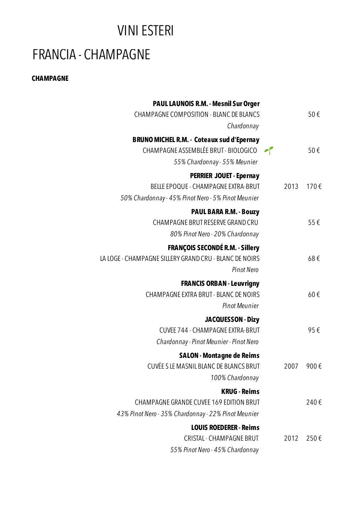## VINI ESTERI

# FRANCIA - CHAMPAGNE

### **CHAMPAGNE**

| 50€  |      | <b>PAUL LAUNOIS R.M. - Mesnil Sur Orger</b><br><b>CHAMPAGNE COMPOSITION - BLANC DE BLANCS</b><br>Chardonnay                        |  |
|------|------|------------------------------------------------------------------------------------------------------------------------------------|--|
| 50€  |      | <b>BRUNO MICHEL R.M. - Coteaux sud d'Epernay</b><br>CHAMPAGNE ASSEMBLÈE BRUT - BIOLOGICO<br>55% Chardonnay - 55% Meunier           |  |
| 170€ | 2013 | <b>PERRIER JOUET - Epernay</b><br><b>BELLE EPOQUE - CHAMPAGNE EXTRA-BRUT</b><br>50% Chardonnay - 45% Pinot Nero - 5% Pinot Meunier |  |
| 55€  |      | <b>PAUL BARA R.M. - Bouzy</b><br>CHAMPAGNE BRUT RESERVE GRAND CRU<br>80% Pinot Nero - 20% Chardonnay                               |  |
| 68€  |      | <b>FRANÇOIS SECONDÉ R.M. - Sillery</b><br>LA LOGE - CHAMPAGNE SILLERY GRAND CRU - BLANC DE NOIRS<br><b>Pinot Nero</b>              |  |
| 60€  |      | <b>FRANCIS ORBAN - Leuvrigny</b><br>CHAMPAGNE EXTRA BRUT - BLANC DE NOIRS<br><b>Pinot Meunier</b>                                  |  |
| 95€  |      | JACQUESSON - Dizy<br><b>CUVEE 744 - CHAMPAGNE EXTRA-BRUT</b><br>Chardonnay - Pinot Meunier - Pinot Nero                            |  |
| 900€ | 2007 | <b>SALON - Montagne de Reims</b><br>CUVÉE S LE MASNIL BLANC DE BLANCS BRUT<br>100% Chardonnay                                      |  |
| 240€ |      | <b>KRUG - Reims</b><br>CHAMPAGNE GRANDE CUVEE 169 EDITION BRUT<br>43% Pinot Nero - 35% Chardonnay - 22% Pinot Meunier              |  |
| 250€ | 2012 | <b>LOUIS ROEDERER - Reims</b><br><b>CRISTAL - CHAMPAGNE BRUT</b><br>55% Pinot Nero - 45% Chardonnay                                |  |
|      |      |                                                                                                                                    |  |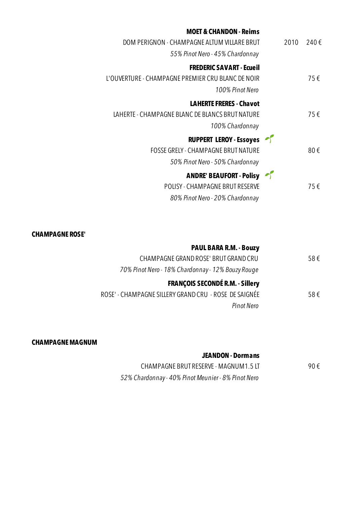| <b>MOET &amp; CHANDON - Reims</b>                 |
|---------------------------------------------------|
| DOM PERIGNON - CHAMPAGNE ALTUM VILLARE BRUT       |
| 55% Pinot Nero - 45% Chardonnay                   |
| <b>FREDERIC SAVART - Ecueil</b>                   |
| L'OUVERTURE - CHAMPAGNE PREMIER CRU BLANC DE NOIR |
| 100% Pinot Nero                                   |
| <b>LAHERTE FRERES - Chavot</b>                    |
| LAHERTE - CHAMPAGNE BLANC DE BLANCS BRUT NATURE   |
| 100% Chardonnay                                   |
| <b>RUPPERT LEROY - Essoyes</b>                    |
| <b>FOSSE GRELY - CHAMPAGNE BRUT NATURE</b>        |
| 50% Pinot Nero - 50% Chardonnay                   |
| <b>ANDRE' BEAUFORT - Polisy</b>                   |
| <b>POLISY - CHAMPAGNE BRUT RESERVE</b>            |
| 80% Pinot Nero - 20% Chardonnay                   |
|                                                   |

### **CHAMPAGNE ROSE'**

|     | <b>PAUL BARA R.M. - Bouzy</b>                         |
|-----|-------------------------------------------------------|
| 58€ | CHAMPAGNE GRAND ROSE' BRUT GRAND CRU                  |
|     | 70% Pinot Nero - 18% Chardonnay - 12% Bouzy Rouge     |
|     | <b>FRANÇOIS SECONDÉ R.M. - Sillery</b>                |
| 58€ | ROSE' - CHAMPAGNE SILLERY GRAND CRU - ROSE DE SAIGNÉE |
|     | Pinot Nero                                            |
|     |                                                       |

### **CHAMPAGNE MAGNUM**

#### **JEANDON - Dormans**

| CHAMPAGNE BRUT RESERVE - MAGNUM1.5 LT              | 90€ |
|----------------------------------------------------|-----|
| 52% Chardonnay - 40% Pinot Meunier - 8% Pinot Nero |     |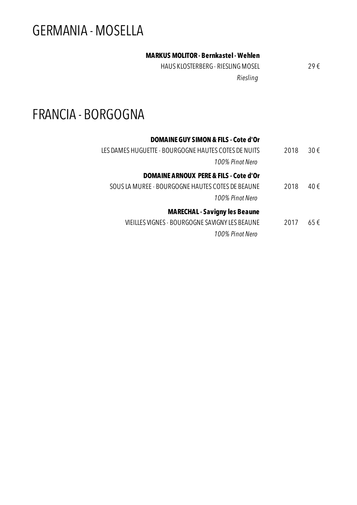# GERMANIA - MOSELLA

### **MARKUS MOLITOR - Bernkastel - Wehlen**

HAUS KLOSTERBERG - RIESLING MOSEL 29 € *Riesling*

# FRANCIA - BORGOGNA

| DOMAINE GUY SIMON & FILS - Cote d'Or                 |      |     |
|------------------------------------------------------|------|-----|
| LES DAMES HUGUETTE - BOURGOGNE HAUTES COTES DE NUITS | 2018 | 30€ |
| 100% Pinot Nero                                      |      |     |
| <b>DOMAINE ARNOUX PERE &amp; FILS - Cote d'Or</b>    |      |     |
| SOUS LA MUREE - BOURGOGNE HAUTES COTES DE BEAUNE     | 2018 | 40€ |
| 100% Pinot Nero                                      |      |     |
| <b>MARECHAL - Savigny les Beaune</b>                 |      |     |
| VIEILLES VIGNES - BOURGOGNE SAVIGNY LES BEAUNE       | 2017 | 65€ |
|                                                      |      |     |

*100% Pinot Nero*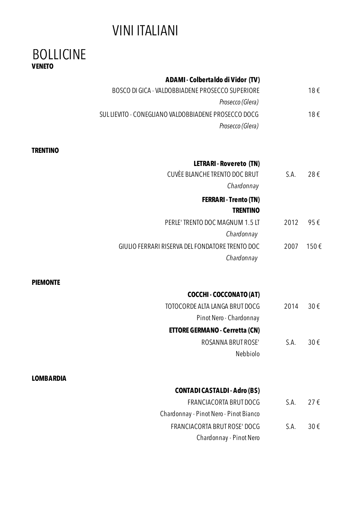# VINI ITALIANI

### BOLLICINE **VENETO**

|                  | <b>ADAMI - Colbertaldo di Vidor (TV)</b>             |      |      |
|------------------|------------------------------------------------------|------|------|
|                  | BOSCO DI GICA - VALDOBBIADENE PROSECCO SUPERIORE     |      | 18€  |
|                  | Prosecco (Glera)                                     |      |      |
|                  | SUL LIEVITO - CONEGLIANO VALDOBBIADENE PROSECCO DOCG |      | 18€  |
|                  | Prosecco (Glera)                                     |      |      |
| <b>TRENTINO</b>  |                                                      |      |      |
|                  | <b>LETRARI - Rovereto (TN)</b>                       |      |      |
|                  | <b>CUVÈE BLANCHE TRENTO DOC BRUT</b>                 | S.A. | 28€  |
|                  | Chardonnay                                           |      |      |
|                  | <b>FERRARI - Trento (TN)</b>                         |      |      |
|                  | <b>TRENTINO</b>                                      |      |      |
|                  | PERLE' TRENTO DOC MAGNUM 1.5 LT                      | 2012 | 95€  |
|                  | Chardonnay                                           |      |      |
|                  | GIULIO FERRARI RISERVA DEL FONDATORE TRENTO DOC      | 2007 | 150€ |
|                  | Chardonnay                                           |      |      |
| <b>PIEMONTE</b>  |                                                      |      |      |
|                  | <b>COCCHI - COCCONATO (AT)</b>                       |      |      |
|                  | TOTOCORDE ALTA LANGA BRUT DOCG                       | 2014 | 30€  |
|                  | Pinot Nero - Chardonnay                              |      |      |
|                  | <b>ETTORE GERMANO - Cerretta (CN)</b>                |      |      |
|                  | ROSANNA BRUT ROSE'                                   | S.A. | 30€  |
|                  | Nebbiolo                                             |      |      |
|                  |                                                      |      |      |
| <b>LOMBARDIA</b> |                                                      |      |      |
|                  | <b>CONTADI CASTALDI - Adro (BS)</b>                  |      |      |
|                  | <b>FRANCIACORTA BRUT DOCG</b>                        | S.A. | 27€  |
|                  | Chardonnay - Pinot Nero - Pinot Bianco               |      |      |
|                  | FRANCIACORTA BRUT ROSE' DOCG                         | S.A. | 30€  |
|                  | Chardonnay - Pinot Nero                              |      |      |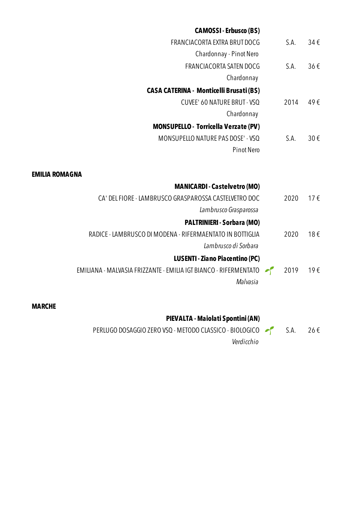| <b>CAMOSSI-Erbusco (BS)</b>                                      |      |          |
|------------------------------------------------------------------|------|----------|
| <b>FRANCIACORTA EXTRA BRUT DOCG</b>                              | S.A. | 34€      |
| Chardonnay - Pinot Nero                                          |      |          |
| FRANCIACORTA SATEN DOCG                                          | S.A. | 36€      |
| Chardonnay                                                       |      |          |
| <b>CASA CATERINA - Monticelli Brusati (BS)</b>                   |      |          |
| <b>CUVEE' 60 NATURE BRUT - VSQ</b>                               | 2014 | 49€      |
| Chardonnay                                                       |      |          |
| <b>MONSUPELLO - Torricella Verzate (PV)</b>                      |      |          |
| MONSUPELLO NATURE PAS DOSE' - VSQ                                | S.A. | 30€      |
| <b>Pinot Nero</b>                                                |      |          |
|                                                                  |      |          |
| <b>EMILIA ROMAGNA</b>                                            |      |          |
| <b>MANICARDI - Castelvetro (MO)</b>                              |      |          |
| CA' DEL FIORE - LAMBRUSCO GRASPAROSSA CASTELVETRO DOC            | 2020 | $17 \in$ |
| Lambrusco Grasparossa                                            |      |          |
| <b>PALTRINIERI - Sorbara (MO)</b>                                |      |          |
| RADICE - LAMBRUSCO DI MODENA - RIFERMAENTATO IN BOTTIGLIA        | 2020 | 18€      |
| Lambrusco di Sorbara                                             |      |          |
| <b>LUSENTI - Ziano Piacentino (PC)</b>                           |      |          |
| EMILIANA - MALVASIA FRIZZANTE - EMILIA IGT BIANCO - RIFERMENTATO | 2019 | 19€      |
| Malvasia                                                         |      |          |
|                                                                  |      |          |
| <b>MARCHE</b>                                                    |      |          |
| PIEVALTA - Maiolati Spontini (AN)                                |      |          |

PERLUGO DOSAGGIO ZERO VSQ - METODO CLASSICO - BIOLOGICO  $\begin{bmatrix} 1 & 26 \\ 0 & 0 \end{bmatrix}$  S.A. 26 € *Verdicchio*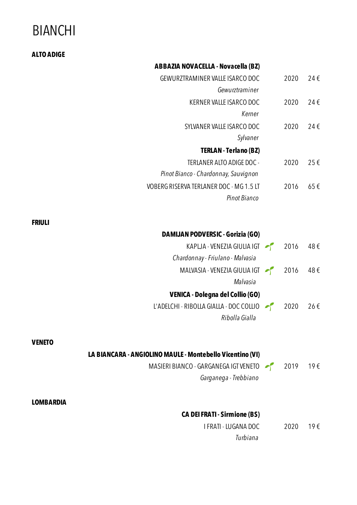# BIANCHI

| <b>ALTO ADIGE</b>                                         |      |     |
|-----------------------------------------------------------|------|-----|
| <b>ABBAZIA NOVACELLA - Novacella (BZ)</b>                 |      |     |
| GEWURZTRAMINER VALLE ISARCO DOC                           | 2020 | 24€ |
| Gewurztraminer                                            |      |     |
| KERNER VALLE ISARCO DOC                                   | 2020 | 24€ |
| Kerner                                                    |      |     |
| SYLVANER VALLE ISARCO DOC                                 | 2020 | 24€ |
| Sylvaner                                                  |      |     |
| <b>TERLAN - Terlano (BZ)</b>                              |      |     |
| TERLANER ALTO ADIGE DOC -                                 | 2020 | 25€ |
| Pinot Bianco - Chardonnay, Sauvignon                      |      |     |
| VOBERG RISERVA TERLANER DOC - MG 1.5 LT                   | 2016 | 65€ |
| Pinot Bianco                                              |      |     |
|                                                           |      |     |
| <b>FRIULI</b>                                             |      |     |
| <b>DAMIJAN PODVERSIC - Gorizia (GO)</b>                   |      |     |
| KAPLJA - VENEZIA GIULIA IGT (2016)                        |      | 48€ |
| Chardonnay - Friulano - Malvasia                          |      |     |
| MALVASIA - VENEZIA GIULIA IGT                             | 2016 | 48€ |
| Malvasia                                                  |      |     |
| <b>VENICA - Dolegna del Collio (GO)</b>                   |      |     |
| L'ADELCHI - RIBOLLA GIALLA - DOC COLLIO                   | 2020 | 26€ |
| Ribolla Gialla                                            |      |     |
|                                                           |      |     |
| <b>VENETO</b>                                             |      |     |
| LA BIANCARA - ANGIOLINO MAULE - Montebello Vicentino (VI) |      |     |
| MASIERI BIANCO - GARGANEGA IGT VENETO                     | 2019 | 19€ |
| Garganega - Trebbiano                                     |      |     |
|                                                           |      |     |
| <b>LOMBARDIA</b>                                          |      |     |
| <b>CA DEI FRATI - Sirmione (BS)</b>                       |      |     |

I FRATI - LUGANA DOC 2020 19 € *Turbiana*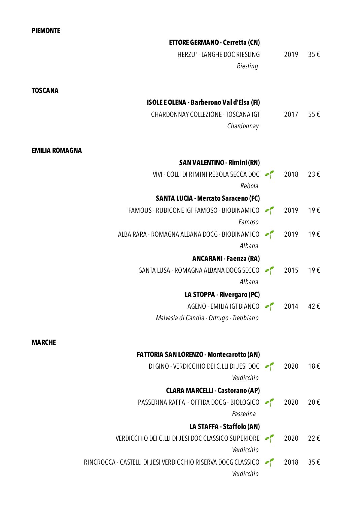### **PIEMONTE**

|                       | <b>ETTORE GERMANO - Cerretta (CN)</b>                            |      |     |
|-----------------------|------------------------------------------------------------------|------|-----|
|                       | HERZU' - LANGHE DOC RIESLING                                     | 2019 | 35€ |
|                       | Riesling                                                         |      |     |
|                       |                                                                  |      |     |
| <b>TOSCANA</b>        |                                                                  |      |     |
|                       | <b>ISOLE E OLENA - Barberono Val d'Elsa (FI)</b>                 |      |     |
|                       | CHARDONNAY COLLEZIONE - TOSCANA IGT                              | 2017 | 55€ |
|                       | Chardonnay                                                       |      |     |
|                       |                                                                  |      |     |
| <b>EMILIA ROMAGNA</b> |                                                                  |      |     |
|                       | <b>SAN VALENTINO - Rimini (RN)</b>                               |      |     |
|                       | VIVI - COLLI DI RIMINI REBOLA SECCA DOC (2018)                   |      | 23€ |
|                       | Rebola                                                           |      |     |
|                       | <b>SANTA LUCIA - Mercato Saraceno (FC)</b>                       |      |     |
|                       | FAMOUS - RUBICONE IGT FAMOSO - BIODINAMICO $\sim$ 2019<br>Famoso |      | 19€ |
|                       | ALBA RARA - ROMAGNA ALBANA DOCG - BIODINAMICO                    |      | 19€ |
|                       | Albana                                                           |      |     |
|                       | <b>ANCARANI - Faenza (RA)</b>                                    |      |     |
|                       | SANTA LUSA - ROMAGNA ALBANA DOCG SECCO 2015                      |      | 19€ |
|                       | Albana                                                           |      |     |
|                       | LA STOPPA - Rivergaro (PC)                                       |      |     |
|                       | AGENO - EMILIA IGT BIANCO $\sim$ 2014 42 €                       |      |     |
|                       | Malvasia di Candia - Ortrugo - Trebbiano                         |      |     |
|                       |                                                                  |      |     |
| <b>MARCHE</b>         |                                                                  |      |     |
|                       | <b>FATTORIA SAN LORENZO - Montecarotto (AN)</b>                  |      |     |
|                       | DI GINO - VERDICCHIO DEI C.LLI DI JESI DOC                       | 2020 | 18€ |
|                       | Verdicchio                                                       |      |     |
|                       | <b>CLARA MARCELLI - Castorano (AP)</b>                           |      |     |
|                       | PASSERINA RAFFA - OFFIDA DOCG - BIOLOGICO                        | 2020 | 20€ |
|                       | Passerina                                                        |      |     |
|                       | LA STAFFA - Staffolo (AN)                                        |      |     |
|                       | VERDICCHIO DEI C.LLI DI JESI DOC CLASSICO SUPERIORE              | 2020 | 22€ |
|                       | Verdicchio                                                       |      |     |
|                       | RINCROCCA - CASTELLI DI JESI VERDICCHIO RISERVA DOCG CLASSICO    | 2018 | 35€ |

*Verdicchio*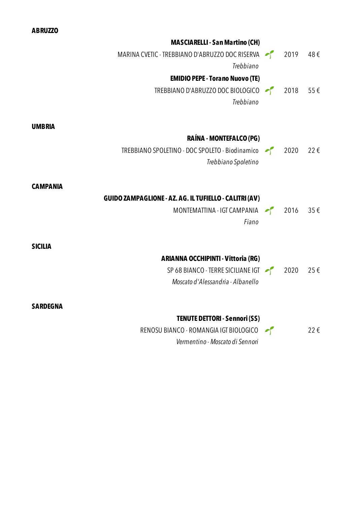|                 | <b>MASCIARELLI - San Martino (CH)</b>                                       |      |          |
|-----------------|-----------------------------------------------------------------------------|------|----------|
|                 | MARINA CVETIC - TREBBIANO D'ABRUZZO DOC RISERVA 2019                        |      | 48€      |
|                 | Trebbiano                                                                   |      |          |
|                 | <b>EMIDIO PEPE - Torano Nuovo (TE)</b>                                      |      |          |
|                 | TREBBIANO D'ABRUZZO DOC BIOLOGICO<br>Trebbiano                              | 2018 | $55 \in$ |
| <b>UMBRIA</b>   |                                                                             |      |          |
|                 | RAÍNA - MONTEFALCO (PG)                                                     |      |          |
|                 | TREBBIANO SPOLETINO - DOC SPOLETO - Biodinamico 2020<br>Trebbiano Spoletino |      | 22€      |
| <b>CAMPANIA</b> |                                                                             |      |          |
|                 | <b>GUIDO ZAMPAGLIONE - AZ. AG. IL TUFIELLO - CALITRI (AV)</b>               |      |          |
|                 | MONTEMATTINA - IGT CAMPANIA<br>Fiano                                        | 2016 | $35 \in$ |
| <b>SICILIA</b>  |                                                                             |      |          |
|                 | ARIANNA OCCHIPINTI - Vittoria (RG)                                          |      |          |
|                 | SP 68 BIANCO - TERRE SICILIANE IGT $\sim$ 2020                              |      | 25€      |
|                 | Moscato d'Alessandria - Albanello                                           |      |          |
| <b>SARDEGNA</b> |                                                                             |      |          |
|                 | <b>TENUTE DETTORI - Sennori (SS)</b>                                        |      |          |
|                 | RENOSU BIANCO - ROMANGIA IGT BIOLOGICO                                      |      | 22€      |
|                 | Vermentino - Moscato di Sennori                                             |      |          |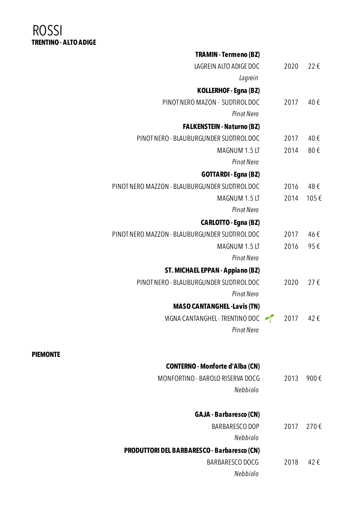### ROSSI **TRENTINO - ALTO ADIGE**

| <b>TRAMIN - Termeno (BZ)</b>                                                  |              |          |
|-------------------------------------------------------------------------------|--------------|----------|
| LAGREIN ALTO ADIGE DOC                                                        | 2020         | 22€      |
| Lagrein                                                                       |              |          |
| KOLLERHOF - Egna (BZ)                                                         |              |          |
| PINOT NERO MAZON - SUDTIROL DOC                                               | 2017         | 40€      |
| <b>Pinot Nero</b>                                                             |              |          |
| <b>FALKENSTEIN - Naturno (BZ)</b>                                             |              |          |
| PINOT NERO - BLAUBURGUNDER SUDTIROL DOC                                       | 2017         | 40€      |
| MAGNUM 1.5 LT                                                                 | 2014         | 80€      |
| <b>Pinot Nero</b>                                                             |              |          |
| <b>GOTTARDI - Egna (BZ)</b>                                                   |              |          |
| PINOT NERO MAZZON - BLAUBURGUNDER SUDTIROL DOC                                | 2016         | 48€      |
| MAGNUM 1.5 LT                                                                 | 2014         | 105€     |
| <b>Pinot Nero</b>                                                             |              |          |
| <b>CARLOTTO - Egna (BZ)</b><br>PINOT NERO MAZZON - BLAUBURGUNDER SUDTIROL DOC |              | 46€      |
| MAGNUM 1.5 LT                                                                 | 2017<br>2016 | 95€      |
| <b>Pinot Nero</b>                                                             |              |          |
| <b>ST. MICHAEL EPPAN - Appiano (BZ)</b>                                       |              |          |
| PINOT NERO - BLAUBURGUNDER SUDTIROL DOC                                       | 2020         | $27 \in$ |
| <b>Pinot Nero</b>                                                             |              |          |
| <b>MASO CANTANGHEL - Lavis (TN)</b>                                           |              |          |
| VIGNA CANTANGHEL - TRENTINO DOC 2017                                          |              | 42€      |
| <b>Pinot Nero</b>                                                             |              |          |
| <b>CONTERNO - Monforte d'Alba (CN)</b>                                        |              |          |
| MONFORTINO - BAROLO RISERVA DOCG                                              | 2013         | 900€     |
| Nebbiolo                                                                      |              |          |
| <b>GAJA - Barbaresco (CN)</b>                                                 |              |          |
| <b>BARBARESCO DOP</b>                                                         | 2017         | 270€     |
| Nebbiolo                                                                      |              |          |
| <b>PRODUTTORI DEL BARBARESCO - Barbaresco (CN)</b>                            |              |          |
| BARBARESCO DOCG                                                               | 2018         | 42€      |
| Nebbiolo                                                                      |              |          |

### **PIEMONTE**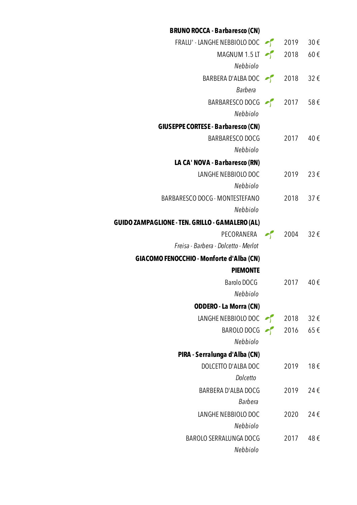| <b>BRUNO ROCCA - Barbaresco (CN)</b>                   |          |          |
|--------------------------------------------------------|----------|----------|
| FRALU' - LANGHE NEBBIOLO DOC $\sim$ 2019 30 €          |          |          |
| MAGNUM 1.5 LT $\sim$ 2018 60 €                         |          |          |
| Nebbiolo                                               |          |          |
| BARBERA D'ALBA DOC $\rightarrow$ 2018 32 €             |          |          |
| Barbera                                                |          |          |
| BARBARESCO DOCG $\rightarrow$ 2017 58 €                |          |          |
| Nebbiolo                                               |          |          |
| <b>GIUSEPPE CORTESE - Barbaresco (CN)</b>              |          |          |
| BARBARESCO DOCG                                        | 2017     | 40€      |
| Nebbiolo                                               |          |          |
| LA CA' NOVA - Barbaresco (RN)                          |          |          |
| LANGHE NEBBIOLO DOC                                    | 2019 23€ |          |
| Nebbiolo                                               |          |          |
| BARBARESCO DOCG - MONTESTEFANO                         | 2018 37€ |          |
| Nebbiolo                                               |          |          |
| <b>GUIDO ZAMPAGLIONE - TEN. GRILLO - GAMALERO (AL)</b> |          |          |
| PECORANERA $\sim$ 2004 32 €                            |          |          |
| Freisa - Barbera - Dolcetto - Merlot                   |          |          |
| <b>GIACOMO FENOCCHIO - Monforte d'Alba (CN)</b>        |          |          |
| <b>PIEMONTE</b>                                        |          |          |
| Barolo DOCG                                            | 2017     | 40€      |
| Nebbiolo                                               |          |          |
| <b>ODDERO - La Morra (CN)</b>                          |          |          |
| LANGHE NEBBIOLO DOC $\sim$ 2018 32 €                   |          |          |
| BAROLO DOCG                                            | 2016     | $65 \in$ |
| Nebbiolo                                               |          |          |
| PIRA - Serralunga d'Alba (CN)                          |          |          |
| DOLCETTO D'ALBA DOC                                    | 2019     | 18€      |
| Dolcetto                                               |          |          |
| BARBERA D'ALBA DOCG                                    | 2019     | 24€      |
| Barbera                                                |          |          |
| LANGHE NEBBIOLO DOC                                    | 2020     | 24€      |
| Nebbiolo                                               |          |          |
| BAROLO SERRALUNGA DOCG                                 | 2017     | 48€      |
| Nebbiolo                                               |          |          |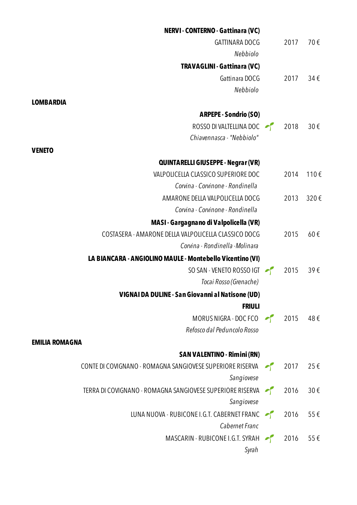| <b>NERVI-CONTERNO-Gattinara (VC)</b>                      |      |          |
|-----------------------------------------------------------|------|----------|
| <b>GATTINARA DOCG</b>                                     | 2017 | 70€      |
| Nebbiolo                                                  |      |          |
| <b>TRAVAGLINI - Gattinara (VC)</b>                        |      |          |
| Gattinara DOCG                                            | 2017 | 34€      |
| Nebbiolo                                                  |      |          |
| <b>LOMBARDIA</b>                                          |      |          |
| <b>ARPEPE - Sondrio (SO)</b>                              |      |          |
| ROSSO DI VALTELLINA DOC                                   | 2018 | $30 \in$ |
| Chiavennasca - "Nebbiolo"                                 |      |          |
| <b>VENETO</b>                                             |      |          |
| QUINTARELLI GIUSEPPE - Negrar (VR)                        |      |          |
| VALPOLICELLA CLASSICO SUPERIORE DOC                       | 2014 | 110€     |
| Corvina - Corvinone - Rondinella                          |      |          |
| AMARONE DELLA VALPOLICELLA DOCG                           | 2013 | 320€     |
| Corvina - Corvinone - Rondinella                          |      |          |
| <b>MASI - Gargagnano di Valpolicella (VR)</b>             |      |          |
| COSTASERA - AMARONE DELLA VALPOLICELLA CLASSICO DOCG      | 2015 | 60€      |
| Corvina - Rondinella - Molinara                           |      |          |
| LA BIANCARA - ANGIOLINO MAULE - Montebello Vicentino (VI) |      |          |
| SO SAN - VENETO ROSSO IGT                                 | 2015 | 39E      |
| Tocai Rosso (Grenache)                                    |      |          |
| VIGNAI DA DULINE - San Giovanni al Natisone (UD)          |      |          |
| <b>FRIULI</b>                                             |      |          |
| MORUS NIGRA - DOC FCO                                     | 2015 | 48€      |
| Refosco dal Peduncolo Rosso                               |      |          |
| <b>EMILIA ROMAGNA</b>                                     |      |          |
| <b>SAN VALENTINO - Rimini (RN)</b>                        |      |          |
| CONTE DI COVIGNANO - ROMAGNA SANGIOVESE SUPERIORE RISERVA | 2017 | 25€      |
| Sangiovese                                                |      |          |
| TERRA DI COVIGNANO - ROMAGNA SANGIOVESE SUPERIORE RISERVA | 2016 | $30 \in$ |
| Sangiovese                                                |      |          |
| LUNA NUOVA - RUBICONE I.G.T. CABERNET FRANC               | 2016 | $55 \in$ |
| Cabernet Franc                                            |      |          |
| MASCARIN - RUBICONE I.G.T. SYRAH                          | 2016 | $55 \in$ |
| Syrah                                                     |      |          |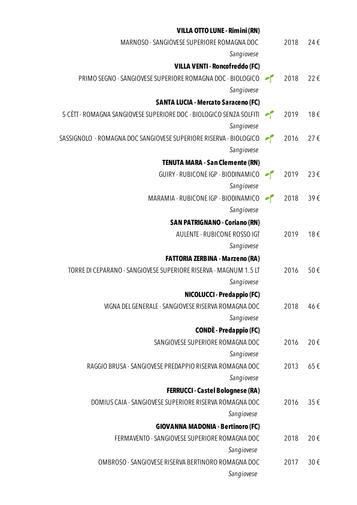| <b>VILLA OTTO LUNE - Rimini (RN)</b>                                   |      |     |
|------------------------------------------------------------------------|------|-----|
| MARNOSO - SANGIOVESE SUPERIORE ROMAGNA DOC                             | 2018 | 24€ |
| Sangiovese                                                             |      |     |
| <b>VILLA VENTI - Roncofreddo (FC)</b>                                  |      |     |
| PRIMO SEGNO - SANGIOVESE SUPERIORE ROMAGNA DOC - BIOLOGICO 2018        |      | 22€ |
| Sangiovese                                                             |      |     |
| <b>SANTA LUCIA - Mercato Saraceno (FC)</b>                             |      |     |
| S-CÈTT - ROMAGNA SANGIOVESE SUPERIORE DOC - BIOLOGICO SENZA SOLFITI    | 2019 | 18€ |
| Sangiovese                                                             |      |     |
| SASSIGNOLO - ROMAGNA DOC SANGIOVESE SUPERIORE RISERVA - BIOLOGICO 2016 |      | 27€ |
| Sangiovese                                                             |      |     |
| <b>TENUTA MARA - San Clemente (RN)</b>                                 |      |     |
| GUIRY - RUBICONE IGP - BIODINAMICO                                     | 2019 | 23€ |
| Sangiovese                                                             |      |     |
| MARAMIA - RUBICONE IGP - BIODINAMICO                                   | 2018 | 39€ |
| Sangiovese                                                             |      |     |
| <b>SAN PATRIGNANO - Coriano (RN)</b>                                   |      |     |
| AULENTE - RUBICONE ROSSO IGT                                           | 2019 | 18€ |
| Sangiovese                                                             |      |     |
| <b>FATTORIA ZERBINA - Marzeno (RA)</b>                                 |      |     |
| TORRE DI CEPARANO - SANGIOVESE SUPERIORE RISERVA - MAGNUM 1.5 LT       | 2016 | 50€ |
| Sangiovese                                                             |      |     |
| <b>NICOLUCCI - Predappio (FC)</b>                                      |      |     |
| VIGNA DEL GENERALE - SANGIOVESE RISERVA ROMAGNA DOC                    | 2018 | 46€ |
| Sangiovese                                                             |      |     |
| <b>CONDÈ - Predappio (FC)</b>                                          |      |     |
| SANGIOVESE SUPERIORE ROMAGNA DOC                                       | 2016 | 20€ |
| Sangiovese                                                             |      |     |
| RAGGIO BRUSA - SANGIOVESE PREDAPPIO RISERVA ROMAGNA DOC                | 2013 | 65€ |
| Sangiovese                                                             |      |     |
| <b>FERRUCCI - Castel Bolognese (RA)</b>                                |      |     |
| DOMIUS CAIA - SANGIOVESE SUPERIORE RISERVA ROMAGNA DOC                 | 2016 | 35€ |
| Sangiovese                                                             |      |     |
| <b>GIOVANNA MADONIA - Bertinoro (FC)</b>                               |      |     |
| FERMAVENTO - SANGIOVESE SUPERIORE ROMAGNA DOC                          | 2018 | 20€ |
| Sangiovese                                                             |      |     |
| OMBROSO - SANGIOVESE RISERVA BERTINORO ROMAGNA DOC                     | 2017 | 30€ |
| Sangiovese                                                             |      |     |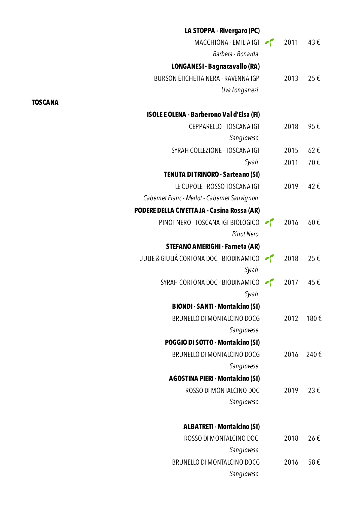| LA STOPPA - Rivergaro (PC)                   |      |          |
|----------------------------------------------|------|----------|
| MACCHIONA - EMILIA IGT 2011                  |      | 43€      |
| Barbera - Bonarda                            |      |          |
| LONGANESI - Bagnacavallo (RA)                |      |          |
| BURSON ETICHETTA NERA - RAVENNA IGP          | 2013 | 25€      |
| Uva Longanesi                                |      |          |
| ISOLE E OLENA - Barberono Val d'Elsa (FI)    |      |          |
| CEPPARELLO - TOSCANA IGT                     | 2018 | 95€      |
| Sangiovese                                   |      |          |
| SYRAH COLLEZIONE - TOSCANA IGT               | 2015 | $62 \in$ |
| Syrah                                        | 2011 | 70€      |
| <b>TENUTA DI TRINORO - Sarteano (SI)</b>     |      |          |
| LE CUPOLE - ROSSO TOSCANA IGT                | 2019 | 42€      |
| Cabernet Franc - Merlot - Cabernet Sauvignon |      |          |
| PODERE DELLA CIVETTAJA - Casina Rossa (AR)   |      |          |
| PINOT NERO - TOSCANA IGT BIOLOGICO           | 2016 | $60 \in$ |
| <b>Pinot Nero</b>                            |      |          |
| <b>STEFANO AMERIGHI - Farneta (AR)</b>       |      |          |
| JULIE & GIULIÁ CORTONA DOC - BIODINAMICO     | 2018 | 25€      |
| Syrah                                        |      |          |
| SYRAH CORTONA DOC - BIODINAMICO              | 2017 | 45€      |
| Syrah                                        |      |          |
| <b>BIONDI - SANTI - Montalcino (SI)</b>      |      |          |
| BRUNELLO DI MONTALCINO DOCG                  | 2012 | 180€     |
| Sangiovese                                   |      |          |
| POGGIO DI SOTTO - Montalcino (SI)            |      |          |
| BRUNELLO DI MONTALCINO DOCG                  | 2016 | 240€     |
| Sangiovese                                   |      |          |
| <b>AGOSTINA PIERI - Montalcino (SI)</b>      |      |          |
| ROSSO DI MONTALCINO DOC                      | 2019 | 23€      |
| Sangiovese                                   |      |          |
| <b>ALBATRETI - Montalcino (SI)</b>           |      |          |
| ROSSO DI MONTALCINO DOC                      | 2018 | 26€      |
| Sangiovese                                   |      |          |
| BRUNELLO DI MONTALCINO DOCG<br>Sangiovese    | 2016 | 58€      |
|                                              |      |          |

**TOSCANA**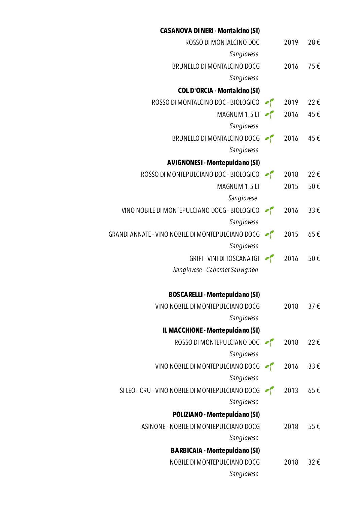| <b>CASANOVA DI NERI - Montalcino (SI)</b>                |      |          |
|----------------------------------------------------------|------|----------|
| ROSSO DI MONTALCINO DOC                                  | 2019 | 28€      |
| Sangiovese                                               |      |          |
| BRUNELLO DI MONTALCINO DOCG                              | 2016 | 75€      |
| Sangiovese                                               |      |          |
| <b>COL D'ORCIA - Montalcino (SI)</b>                     |      |          |
| ROSSO DI MONTALCINO DOC - BIOLOGICO $\sim$ 2019 22 €     |      |          |
| MAGNUM 1.5 LT $\sim$ 2016                                |      | 45€      |
| Sangiovese                                               |      |          |
| BRUNELLO DI MONTALCINO DOCG <sup>2</sup> 2016            |      | 45€      |
| Sangiovese                                               |      |          |
| <b>AVIGNONESI - Montepulciano (SI)</b>                   |      |          |
| ROSSO DI MONTEPULCIANO DOC - BIOLOGICO 2018              |      | 22€      |
| MAGNUM 1.5 LT                                            | 2015 | 50€      |
| Sangiovese                                               |      |          |
| VINO NOBILE DI MONTEPULCIANO DOCG - BIOLOGICO 2016       |      | 33€      |
| Sangiovese                                               |      |          |
| GRANDI ANNATE - VINO NOBILE DI MONTEPULCIANO DOCG (2015) |      | $65 \in$ |
| Sangiovese                                               |      |          |
| GRIFI - VINI DI TOSCANA IGT $\sim$ 2016                  |      | 50€      |
| Sangiovese - Cabernet Sauvignon                          |      |          |
|                                                          |      |          |
| <b>BOSCARELLI - Montepulciano (SI)</b>                   |      |          |
| VINO NOBILE DI MONTEPULCIANO DOCG                        | 2018 | $37 \in$ |
| Sangiovese                                               |      |          |
| IL MACCHIONE - Montepulciano (SI)                        |      |          |
| ROSSO DI MONTEPULCIANO DOC                               | 2018 | 22€      |
| Sangiovese                                               |      |          |
| VINO NOBILE DI MONTEPULCIANO DOCG $\sim$ 2016            |      | $33 \in$ |
| Sangiovese                                               |      |          |
| SI LEO - CRU - VINO NOBILE DI MONTEPULCIANO DOCG (2013)  |      | 65€      |
| Sangiovese                                               |      |          |
| <b>POLIZIANO - Montepulciano (SI)</b>                    |      |          |
| ASINONE - NOBILE DI MONTEPULCIANO DOCG                   | 2018 | 55€      |
| Sangiovese                                               |      |          |
| <b>BARBICAIA - Montepulciano (SI)</b>                    |      |          |
| NOBILE DI MONTEPULCIANO DOCG                             | 2018 | 32€      |
| Sangiovese                                               |      |          |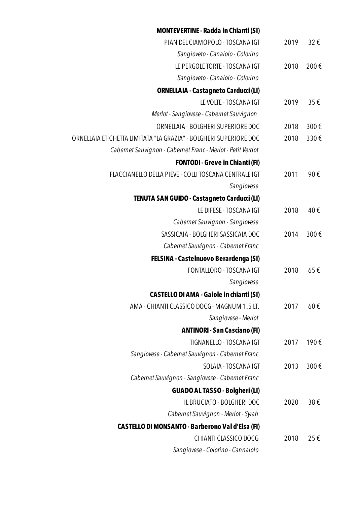|                  | <b>MONTEVERTINE - Radda in Chianti (SI)</b>                       |
|------------------|-------------------------------------------------------------------|
| 32€<br>2019      | PIAN DEL CIAMOPOLO - TOSCANA IGT                                  |
|                  | Sangioveto - Canaiolo - Colorino                                  |
| 200€<br>2018     | LE PERGOLE TORTE - TOSCANA IGT                                    |
|                  | Sangioveto - Canaiolo - Colorino                                  |
|                  | <b>ORNELLAIA - Castagneto Carducci (LI)</b>                       |
| 35€<br>2019      | LE VOLTE - TOSCANA IGT                                            |
|                  | Merlot - Sangiovese - Cabernet Sauvignon                          |
| 300€<br>2018     | ORNELLAIA - BOLGHERI SUPERIORE DOC                                |
| 330€<br>2018     | ORNELLAIA ETICHETTA LIMITATA "LA GRAZIA" - BOLGHERI SUPERIORE DOC |
|                  | Cabernet Sauvignon - Cabernet Franc - Merlot - Petit Verdot       |
|                  | <b>FONTODI - Greve in Chianti (FI)</b>                            |
| 90€<br>2011      | FLACCIANELLO DELLA PIEVE - COLLI TOSCANA CENTRALE IGT             |
|                  | Sangiovese                                                        |
|                  | TENUTA SAN GUIDO - Castagneto Carducci (LI)                       |
| 40€<br>2018      | LE DIFESE - TOSCANA IGT                                           |
|                  | Cabernet Sauvignon - Sangiovese                                   |
| 300€<br>2014     | SASSICAIA - BOLGHERI SASSICAIA DOC                                |
|                  | Cabernet Sauvignon - Cabernet Franc                               |
|                  | FELSINA - Castelnuovo Berardenga (SI)                             |
| 65€<br>2018      | <b>FONTALLORO - TOSCANA IGT</b>                                   |
|                  | Sangiovese                                                        |
|                  | <b>CASTELLO DI AMA - Gaiole in chianti (SI)</b>                   |
| $60 \in$<br>2017 | AMA - CHIANTI CLASSICO DOCG - MAGNUM 1.5 LT.                      |
|                  | Sangiovese - Merlot                                               |
|                  | <b>ANTINORI - San Casciano (FI)</b>                               |
| 190€<br>2017     | TIGNANELLO - TOSCANA IGT                                          |
|                  | Sangiovese - Cabernet Sauvignon - Cabernet Franc                  |
| 300€<br>2013     | SOLAIA - TOSCANA IGT                                              |
|                  | Cabernet Sauvignon - Sangiovese - Cabernet Franc                  |
|                  | <b>GUADO AL TASSO - Bolgheri (LI)</b>                             |
| 38€<br>2020      | IL BRUCIATO - BOLGHERI DOC                                        |
|                  | Cabernet Sauvignon - Merlot - Syrah                               |
|                  | <b>CASTELLO DI MONSANTO - Barberono Val d'Elsa (FI)</b>           |
| 25€<br>2018      | CHIANTI CLASSICO DOCG                                             |
|                  | Sangiovese - Colorino - Cannaiolo                                 |
|                  |                                                                   |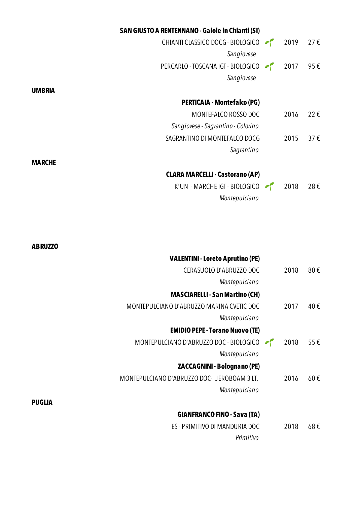|               | <b>SAN GIUSTO A RENTENNANO - Gaiole in Chianti (SI)</b> |      |          |
|---------------|---------------------------------------------------------|------|----------|
|               | CHIANTI CLASSICO DOCG - BIOLOGICO                       | 2019 | 27€      |
|               | Sangiovese                                              |      |          |
|               | PERCARLO - TOSCANA IGT - BIOLOGICO                      | 2017 | 95€      |
|               | Sangiovese                                              |      |          |
| <b>UMBRIA</b> |                                                         |      |          |
|               | <b>PERTICAIA - Montefalco (PG)</b>                      |      |          |
|               | MONTEFALCO ROSSO DOC                                    | 2016 | 22€      |
|               | Sangiovese - Sagrantino - Colorino                      |      |          |
|               | SAGRANTINO DI MONTEFALCO DOCG                           | 2015 | $37 \in$ |
|               | Sagrantino                                              |      |          |
| <b>MARCHE</b> |                                                         |      |          |
|               | <b>CLARA MARCELLI - Castorano (AP)</b>                  |      |          |
|               | K'UN - MARCHE IGT - BIOLOGICO                           | 2018 | 28€      |
|               | Montepulciano                                           |      |          |
|               |                                                         |      |          |

| <b>ABRUZZO</b>                              |      |     |
|---------------------------------------------|------|-----|
| <b>VALENTINI - Loreto Aprutino (PE)</b>     |      |     |
| CERASUOLO D'ABRUZZO DOC                     | 2018 | 80€ |
| Montepulciano                               |      |     |
| <b>MASCIARELLI - San Martino (CH)</b>       |      |     |
| MONTEPULCIANO D'ABRUZZO MARINA CVETIC DOC   | 2017 | 40€ |
| Montepulciano                               |      |     |
| <b>EMIDIO PEPE - Torano Nuovo (TE)</b>      |      |     |
| MONTEPULCIANO D'ABRUZZO DOC - BIOLOGICO     | 2018 | 55€ |
| Montepulciano                               |      |     |
| <b>ZACCAGNINI - Bolognano (PE)</b>          |      |     |
| MONTEPULCIANO D'ABRUZZO DOC- JEROBOAM 3 LT. | 2016 | 60€ |
| Montepulciano                               |      |     |
| <b>PUGLIA</b>                               |      |     |
| <b>GIANFRANCO FINO - Sava (TA)</b>          |      |     |
| ES - PRIMITIVO DI MANDURIA DOC              | 2018 | 68€ |
| Primitivo                                   |      |     |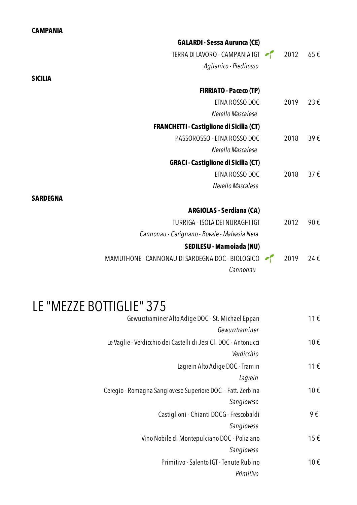### **CAMPANIA**

|                 | <b>GALARDI - Sessa Aurunca (CE)</b>              |          |          |
|-----------------|--------------------------------------------------|----------|----------|
|                 | TERRA DI LAVORO - CAMPANIA IGT                   | 2012 65€ |          |
|                 | Aglianico - Piedirosso                           |          |          |
| <b>SICILIA</b>  |                                                  |          |          |
|                 | <b>FIRRIATO - Paceco (TP)</b>                    |          |          |
|                 | ETNA ROSSO DOC                                   | 2019     | 23€      |
|                 | Nerello Mascalese                                |          |          |
|                 | <b>FRANCHETTI - Castiglione di Sicilia (CT)</b>  |          |          |
|                 | PASSOROSSO - ETNA ROSSO DOC                      | 2018     | 39€      |
|                 | Nerello Mascalese                                |          |          |
|                 | <b>GRACI - Castiglione di Sicilia (CT)</b>       |          |          |
|                 | ETNA ROSSO DOC                                   | 2018     | $37 \in$ |
|                 | Nerello Mascalese                                |          |          |
| <b>SARDEGNA</b> |                                                  |          |          |
|                 | <b>ARGIOLAS - Serdiana (CA)</b>                  |          |          |
|                 | TURRIGA - ISOLA DEI NURAGHI IGT                  | 2012     | 90€      |
|                 | Cannonau - Carignano - Bovale - Malvasia Nera    |          |          |
|                 | SEDILESU - Mamoiada (NU)                         |          |          |
|                 | MAMUTHONE - CANNONAU DI SARDEGNA DOC - BIOLOGICO | 2019     | 24€      |
|                 | Cannonau                                         |          |          |
|                 |                                                  |          |          |

# LE "MEZZE BOTTIGLIE" 375

| 11€ | Gewurztraminer Alto Adige DOC - St. Michael Eppan               |
|-----|-----------------------------------------------------------------|
|     | Gewurztraminer                                                  |
| 10€ | Le Vaglie - Verdicchio dei Castelli di Jesi Cl. DOC - Antonucci |
|     | Verdicchio                                                      |
| 11€ | Lagrein Alto Adige DOC - Tramin                                 |
|     | Lagrein                                                         |
| 10€ | Ceregio - Romagna Sangiovese Superiore DOC - Fatt. Zerbina      |
|     | Sangiovese                                                      |
| 9€  | Castiglioni - Chianti DOCG - Frescobaldi                        |
|     | Sangiovese                                                      |
| 15€ | Vino Nobile di Montepulciano DOC - Poliziano                    |
|     | Sangiovese                                                      |
| 10€ | Primitivo - Salento IGT - Tenute Rubino                         |
|     | Primitivo                                                       |